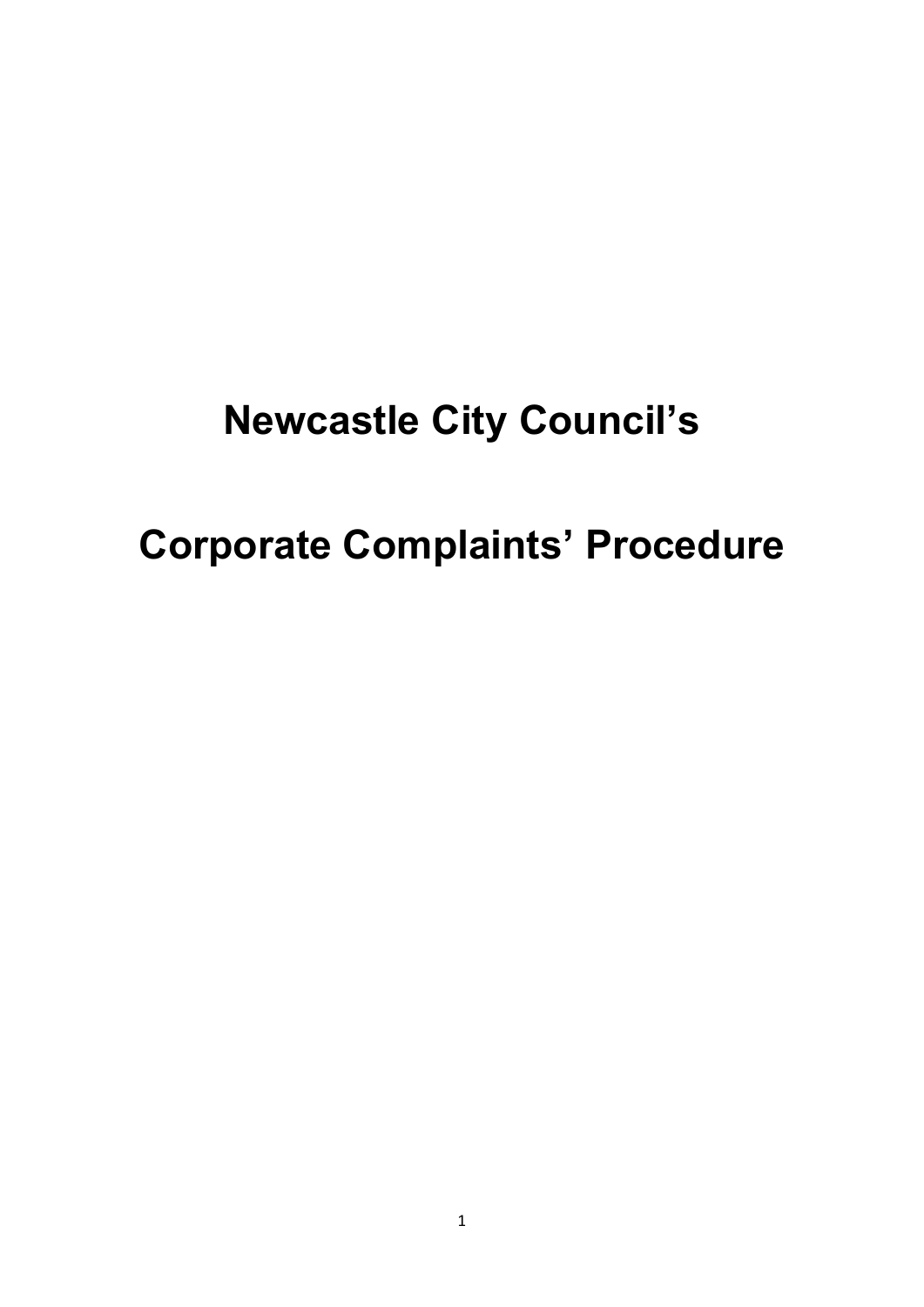# **Newcastle City Council's**

# **Corporate Complaints' Procedure**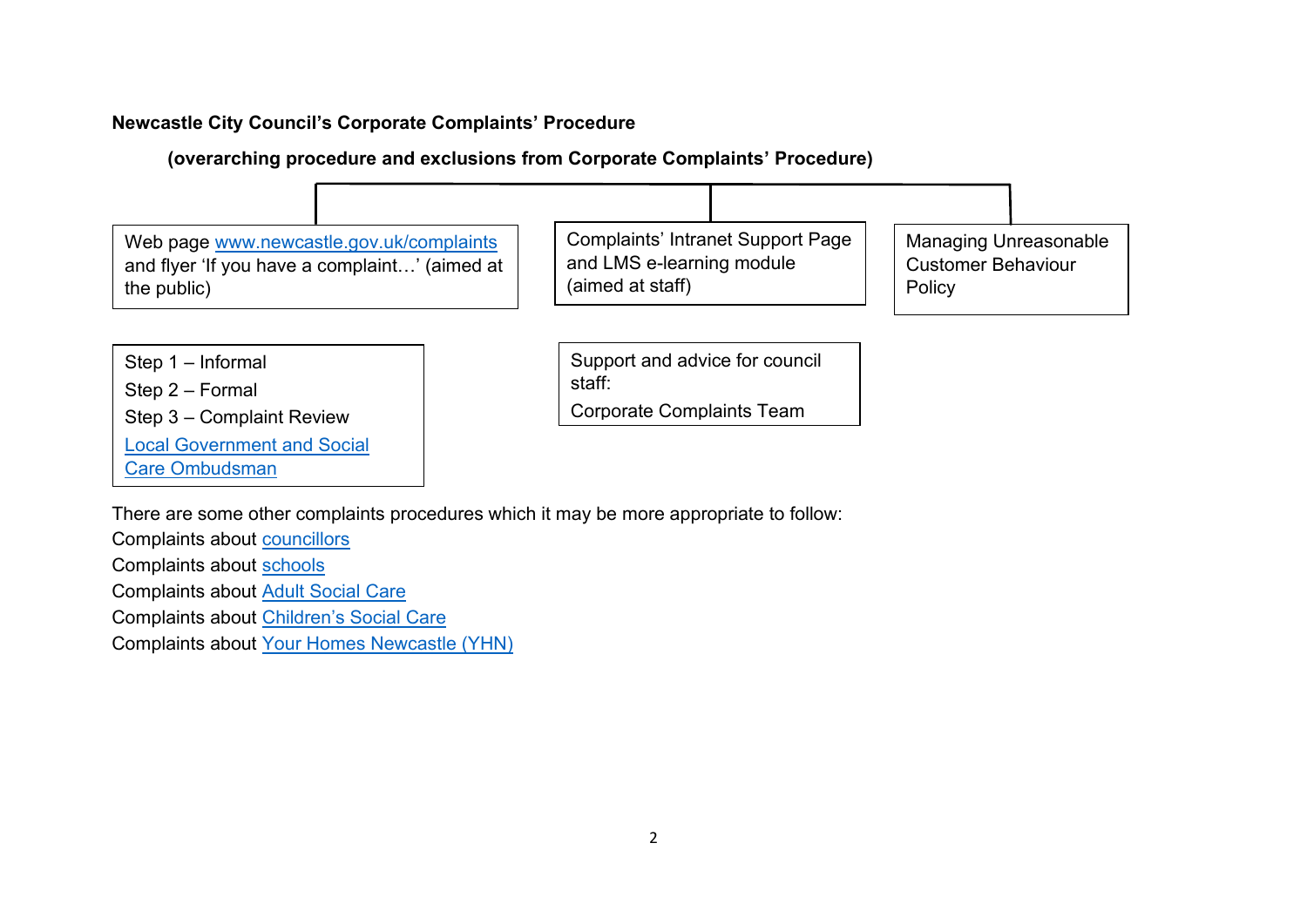#### **Newcastle City Council's Corporate Complaints' Procedure**

**(overarching procedure and exclusions from Corporate Complaints' Procedure)**



There are some other complaints procedures which it may be more appropriate to follow:

Complaints about [councillors](https://www.newcastle.gov.uk/your-council-and-democracy/contact-the-council/complaints)

Complaints about [schools](https://www.newcastle.gov.uk/your-council-and-democracy/contact-the-council/complaints)

Complaints about [Adult Social Care](https://www.newcastle.gov.uk/your-council-and-democracy/contact-the-council/complaints)

Complaints about [Children's Social Care](https://www.newcastle.gov.uk/your-council-and-democracy/contact-the-council/complaints)

Complaints about [Your Homes Newcastle \(YHN\)](https://www.yhn.org.uk/contact-us/key-contacts/complaints-and-compliments/)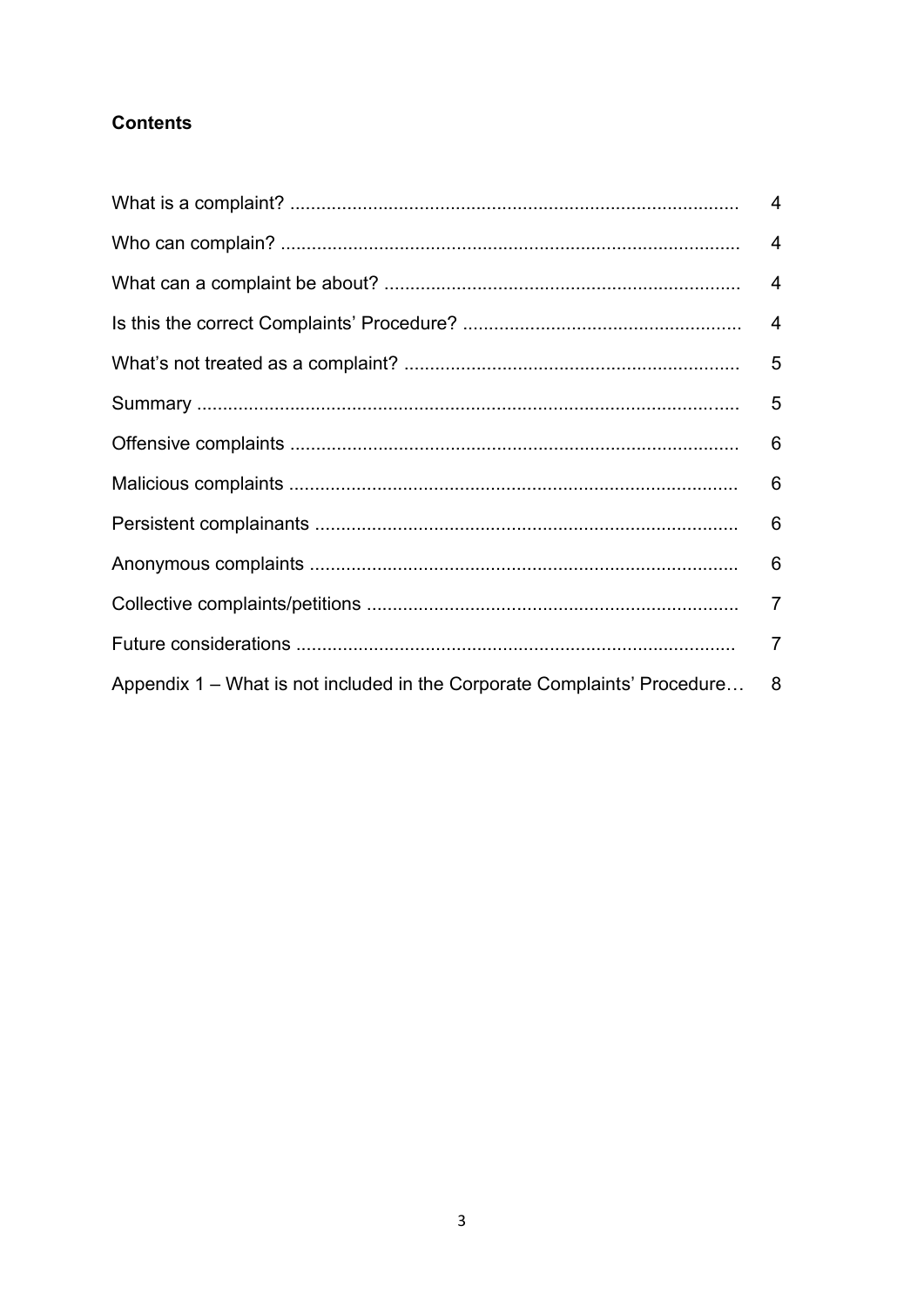# **Contents**

|                                                                          | $\overline{4}$ |
|--------------------------------------------------------------------------|----------------|
|                                                                          | $\overline{4}$ |
|                                                                          | $\overline{4}$ |
|                                                                          | $\overline{4}$ |
|                                                                          | 5              |
|                                                                          | 5              |
|                                                                          | 6              |
|                                                                          | 6              |
|                                                                          | 6              |
|                                                                          | 6              |
|                                                                          | $\overline{7}$ |
|                                                                          | $\overline{7}$ |
| Appendix 1 – What is not included in the Corporate Complaints' Procedure | 8              |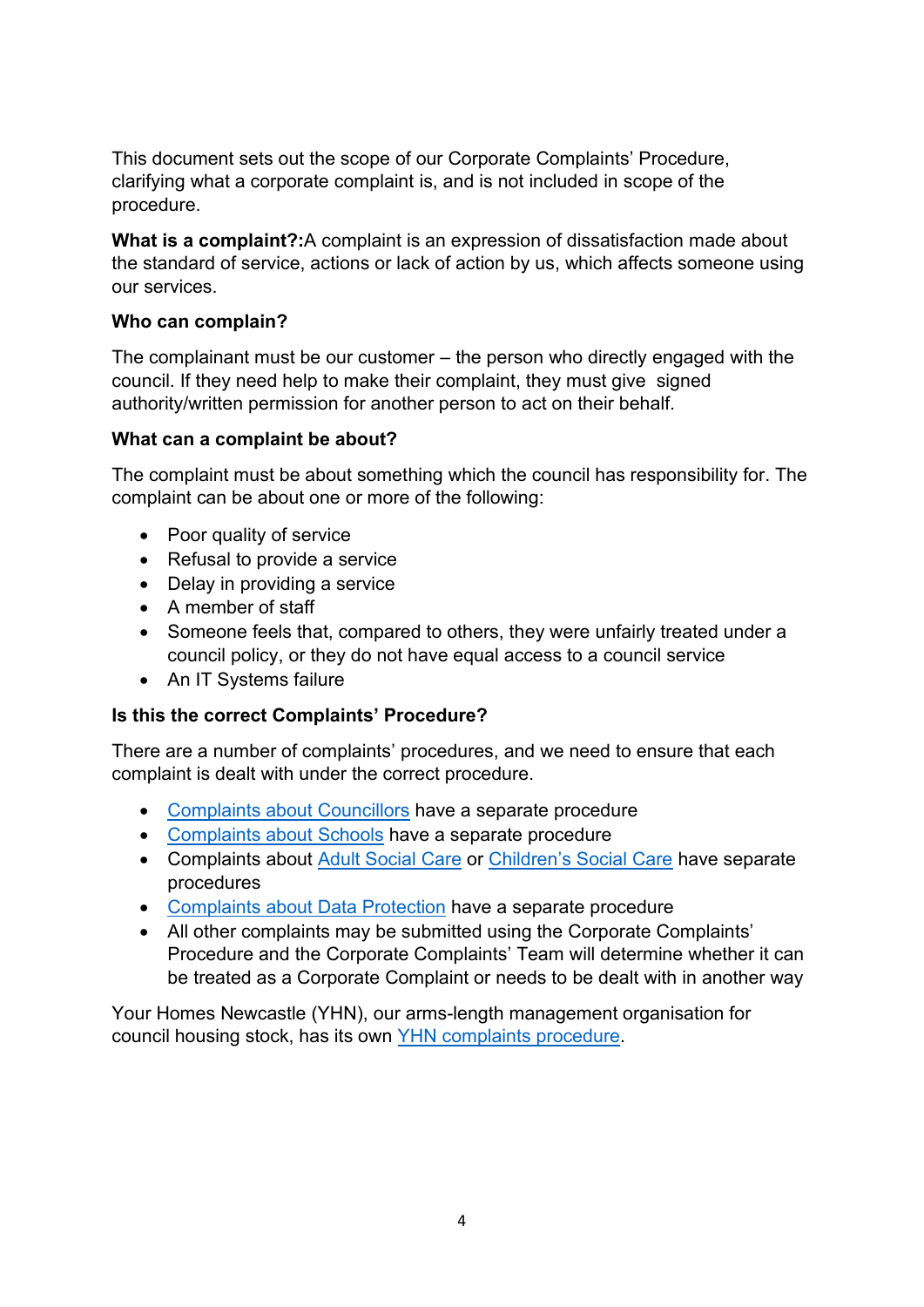This document sets out the scope of our Corporate Complaints' Procedure, clarifying what a corporate complaint is, and is not included in scope of the procedure.

**What is a complaint?:**A complaint is an expression of dissatisfaction made about the standard of service, actions or lack of action by us, which affects someone using our services.

#### **Who can complain?**

The complainant must be our customer – the person who directly engaged with the council. If they need help to make their complaint, they must give signed authority/written permission for another person to act on their behalf.

#### **What can a complaint be about?**

The complaint must be about something which the council has responsibility for. The complaint can be about one or more of the following:

- Poor quality of service
- Refusal to provide a service
- Delay in providing a service
- A member of staff
- Someone feels that, compared to others, they were unfairly treated under a council policy, or they do not have equal access to a council service
- An IT Systems failure

### **Is this the correct Complaints' Procedure?**

There are a number of complaints' procedures, and we need to ensure that each complaint is dealt with under the correct procedure.

- [Complaints about Councillors](https://www.newcastle.gov.uk/your-council-and-democracy/contact-the-council/complaints/complaints-about-councillors) have a separate procedure
- [Complaints about](https://www.newcastle.gov.uk/your-council-and-democracy/contact-the-council/complaints/complaints-about-schools) Schools have a separate procedure
- Complaints about [Adult Social Care](https://www.newcastle.gov.uk/your-council-and-democracy/contact-the-council/complaints/compliants-and-comments-about-adult-and-culture-services) or [Children's Social Care](https://www.newcastle.gov.uk/your-council-and-democracy/contact-the-council/complaints/complaints-and-comments-about-childrens-services) have separate procedures
- [Complaints about Data Protection](https://www.newcastle.gov.uk/local-government/access-information-and-data/open-data/privacy-notice) have a separate procedure
- All other complaints may be submitted using the Corporate Complaints' Procedure and the Corporate Complaints' Team will determine whether it can be treated as a Corporate Complaint or needs to be dealt with in another way

Your Homes Newcastle (YHN), our arms-length management organisation for council housing stock, has its own [YHN complaints procedure.](https://www.yhn.org.uk/contact-us/key-contacts/complaints-and-compliments/)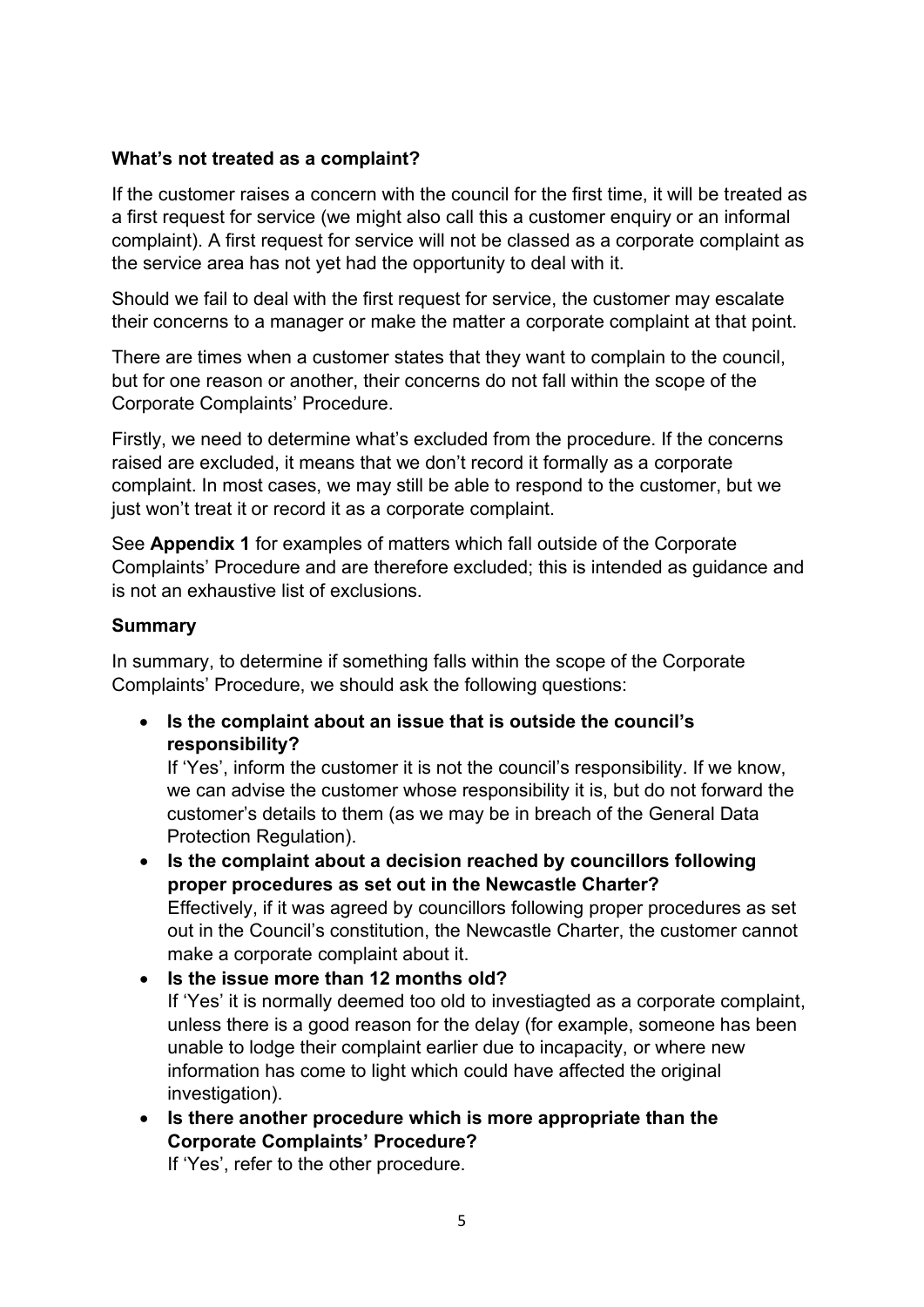#### **What's not treated as a complaint?**

If the customer raises a concern with the council for the first time, it will be treated as a first request for service (we might also call this a customer enquiry or an informal complaint). A first request for service will not be classed as a corporate complaint as the service area has not yet had the opportunity to deal with it.

Should we fail to deal with the first request for service, the customer may escalate their concerns to a manager or make the matter a corporate complaint at that point.

There are times when a customer states that they want to complain to the council, but for one reason or another, their concerns do not fall within the scope of the Corporate Complaints' Procedure.

Firstly, we need to determine what's excluded from the procedure. If the concerns raised are excluded, it means that we don't record it formally as a corporate complaint. In most cases, we may still be able to respond to the customer, but we just won't treat it or record it as a corporate complaint.

See **Appendix 1** for examples of matters which fall outside of the Corporate Complaints' Procedure and are therefore excluded; this is intended as guidance and is not an exhaustive list of exclusions.

#### **Summary**

In summary, to determine if something falls within the scope of the Corporate Complaints' Procedure, we should ask the following questions:

• **Is the complaint about an issue that is outside the council's responsibility?**

If 'Yes', inform the customer it is not the council's responsibility. If we know, we can advise the customer whose responsibility it is, but do not forward the customer's details to them (as we may be in breach of the General Data Protection Regulation).

- **Is the complaint about a decision reached by councillors following proper procedures as set out in the Newcastle Charter?** Effectively, if it was agreed by councillors following proper procedures as set out in the Council's constitution, the Newcastle Charter, the customer cannot make a corporate complaint about it.
- **Is the issue more than 12 months old?** If 'Yes' it is normally deemed too old to investiagted as a corporate complaint, unless there is a good reason for the delay (for example, someone has been unable to lodge their complaint earlier due to incapacity, or where new information has come to light which could have affected the original investigation).
- **Is there another procedure which is more appropriate than the Corporate Complaints' Procedure?**

If 'Yes', refer to the other procedure.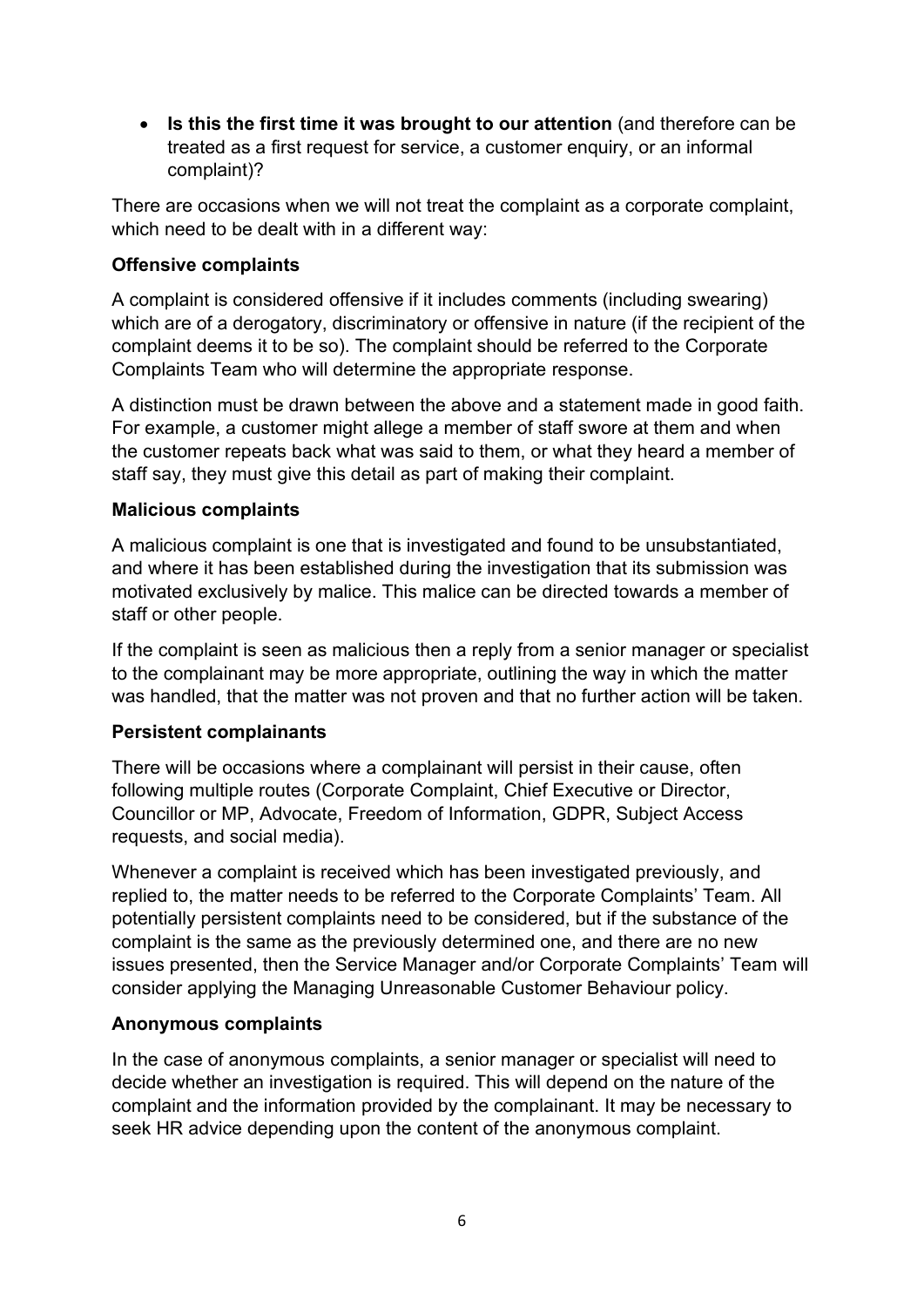• **Is this the first time it was brought to our attention** (and therefore can be treated as a first request for service, a customer enquiry, or an informal complaint)?

There are occasions when we will not treat the complaint as a corporate complaint, which need to be dealt with in a different way:

## **Offensive complaints**

A complaint is considered offensive if it includes comments (including swearing) which are of a derogatory, discriminatory or offensive in nature (if the recipient of the complaint deems it to be so). The complaint should be referred to the Corporate Complaints Team who will determine the appropriate response.

A distinction must be drawn between the above and a statement made in good faith. For example, a customer might allege a member of staff swore at them and when the customer repeats back what was said to them, or what they heard a member of staff say, they must give this detail as part of making their complaint.

## **Malicious complaints**

A malicious complaint is one that is investigated and found to be unsubstantiated, and where it has been established during the investigation that its submission was motivated exclusively by malice. This malice can be directed towards a member of staff or other people.

If the complaint is seen as malicious then a reply from a senior manager or specialist to the complainant may be more appropriate, outlining the way in which the matter was handled, that the matter was not proven and that no further action will be taken.

## **Persistent complainants**

There will be occasions where a complainant will persist in their cause, often following multiple routes (Corporate Complaint, Chief Executive or Director, Councillor or MP, Advocate, Freedom of Information, GDPR, Subject Access requests, and social media).

Whenever a complaint is received which has been investigated previously, and replied to, the matter needs to be referred to the Corporate Complaints' Team. All potentially persistent complaints need to be considered, but if the substance of the complaint is the same as the previously determined one, and there are no new issues presented, then the Service Manager and/or Corporate Complaints' Team will consider applying the Managing Unreasonable Customer Behaviour policy.

## **Anonymous complaints**

In the case of anonymous complaints, a senior manager or specialist will need to decide whether an investigation is required. This will depend on the nature of the complaint and the information provided by the complainant. It may be necessary to seek HR advice depending upon the content of the anonymous complaint.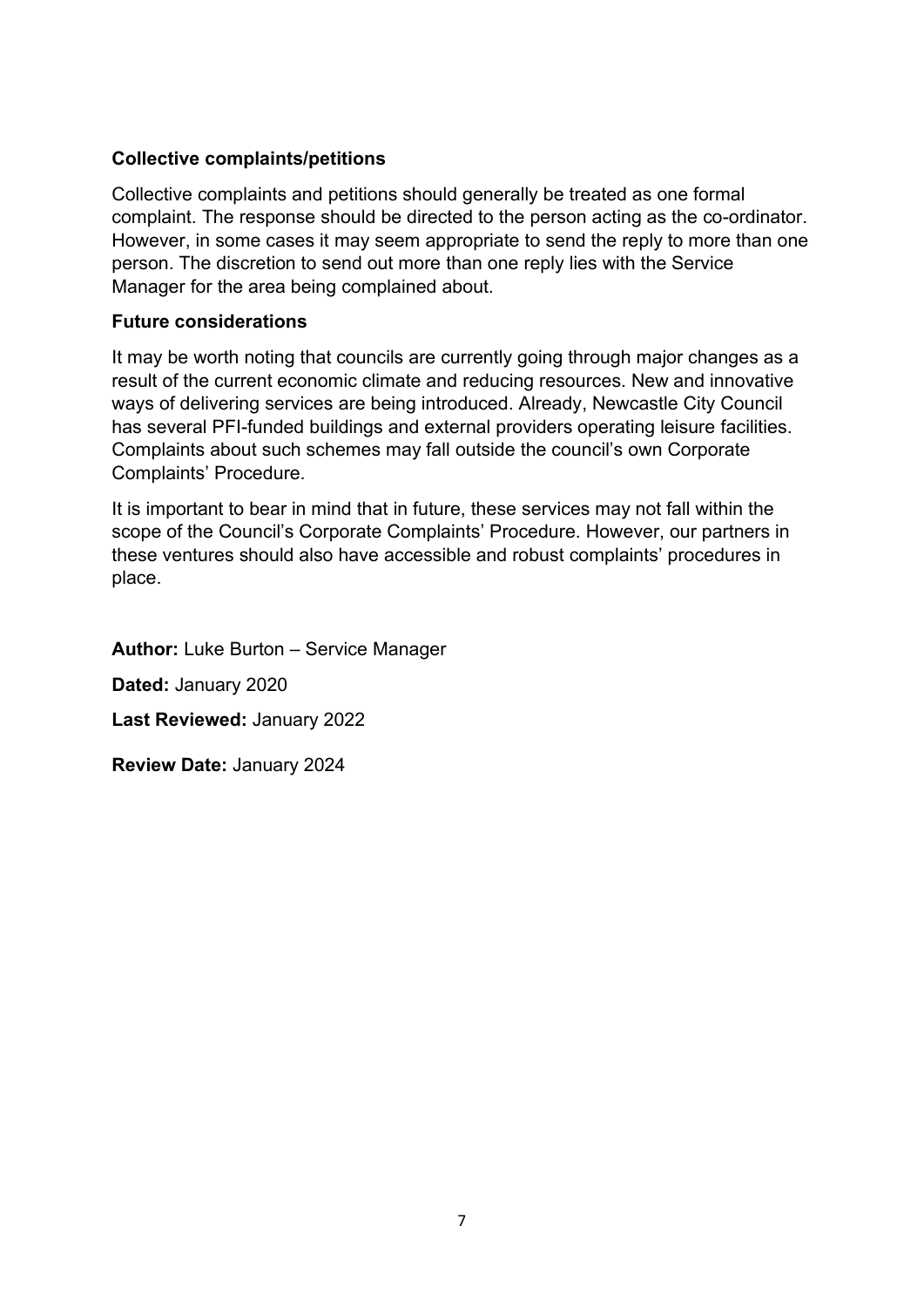### **Collective complaints/petitions**

Collective complaints and petitions should generally be treated as one formal complaint. The response should be directed to the person acting as the co-ordinator. However, in some cases it may seem appropriate to send the reply to more than one person. The discretion to send out more than one reply lies with the Service Manager for the area being complained about.

#### **Future considerations**

It may be worth noting that councils are currently going through major changes as a result of the current economic climate and reducing resources. New and innovative ways of delivering services are being introduced. Already, Newcastle City Council has several PFI-funded buildings and external providers operating leisure facilities. Complaints about such schemes may fall outside the council's own Corporate Complaints' Procedure.

It is important to bear in mind that in future, these services may not fall within the scope of the Council's Corporate Complaints' Procedure. However, our partners in these ventures should also have accessible and robust complaints' procedures in place.

**Author:** Luke Burton – Service Manager **Dated:** January 2020 **Last Reviewed:** January 2022 **Review Date:** January 2024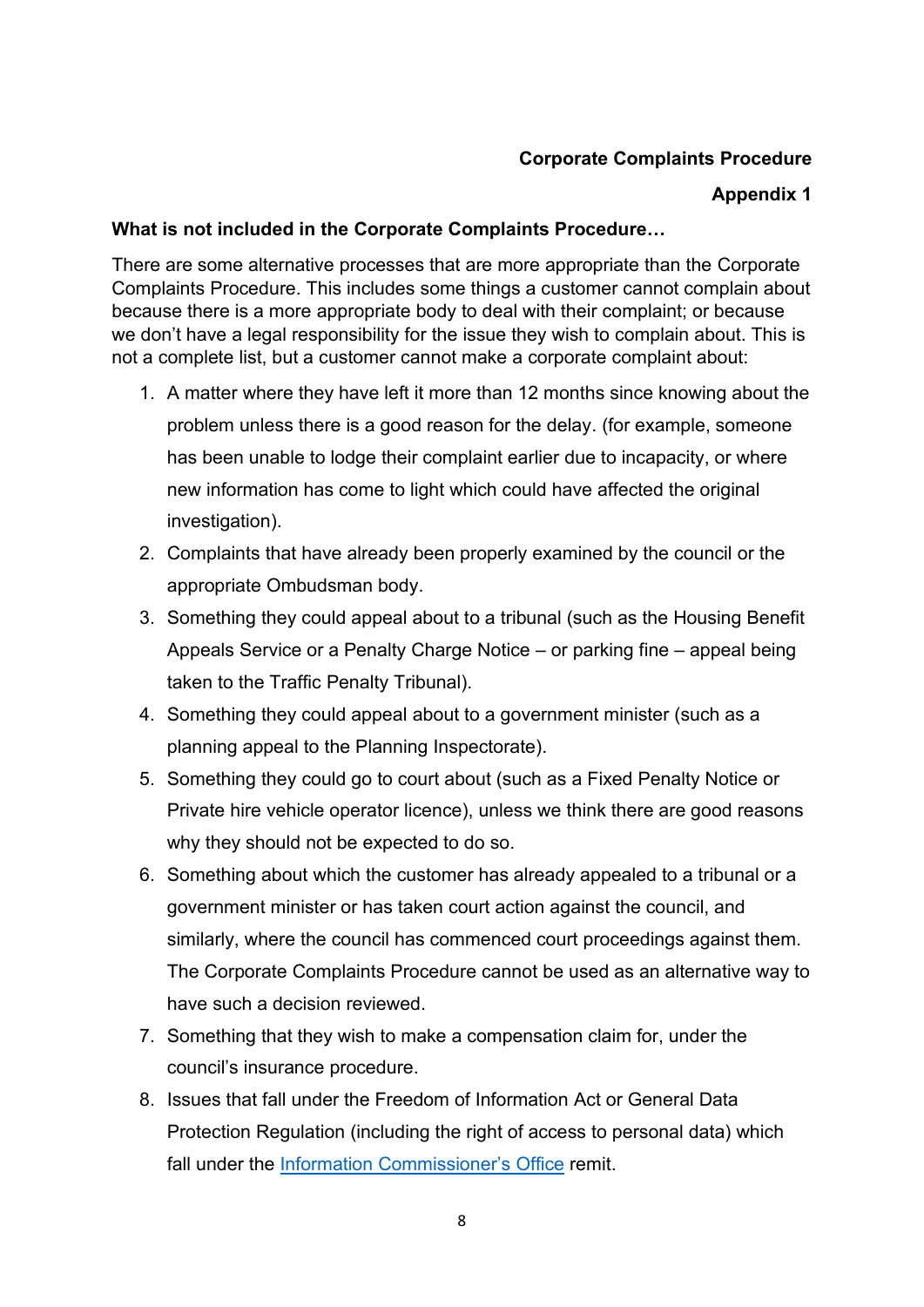## **Corporate Complaints Procedure**

## **Appendix 1**

## **What is not included in the Corporate Complaints Procedure…**

There are some alternative processes that are more appropriate than the Corporate Complaints Procedure. This includes some things a customer cannot complain about because there is a more appropriate body to deal with their complaint; or because we don't have a legal responsibility for the issue they wish to complain about. This is not a complete list, but a customer cannot make a corporate complaint about:

- 1. A matter where they have left it more than 12 months since knowing about the problem unless there is a good reason for the delay. (for example, someone has been unable to lodge their complaint earlier due to incapacity, or where new information has come to light which could have affected the original investigation).
- 2. Complaints that have already been properly examined by the council or the appropriate Ombudsman body.
- 3. Something they could appeal about to a tribunal (such as the Housing Benefit Appeals Service or a Penalty Charge Notice – or parking fine – appeal being taken to the Traffic Penalty Tribunal).
- 4. Something they could appeal about to a government minister (such as a planning appeal to the Planning Inspectorate).
- 5. Something they could go to court about (such as a Fixed Penalty Notice or Private hire vehicle operator licence), unless we think there are good reasons why they should not be expected to do so.
- 6. Something about which the customer has already appealed to a tribunal or a government minister or has taken court action against the council, and similarly, where the council has commenced court proceedings against them. The Corporate Complaints Procedure cannot be used as an alternative way to have such a decision reviewed.
- 7. Something that they wish to make a compensation claim for, under the council's insurance procedure.
- 8. Issues that fall under the Freedom of Information Act or General Data Protection Regulation (including the right of access to personal data) which fall under the [Information Commissioner's](https://ico.org.uk/) Office remit.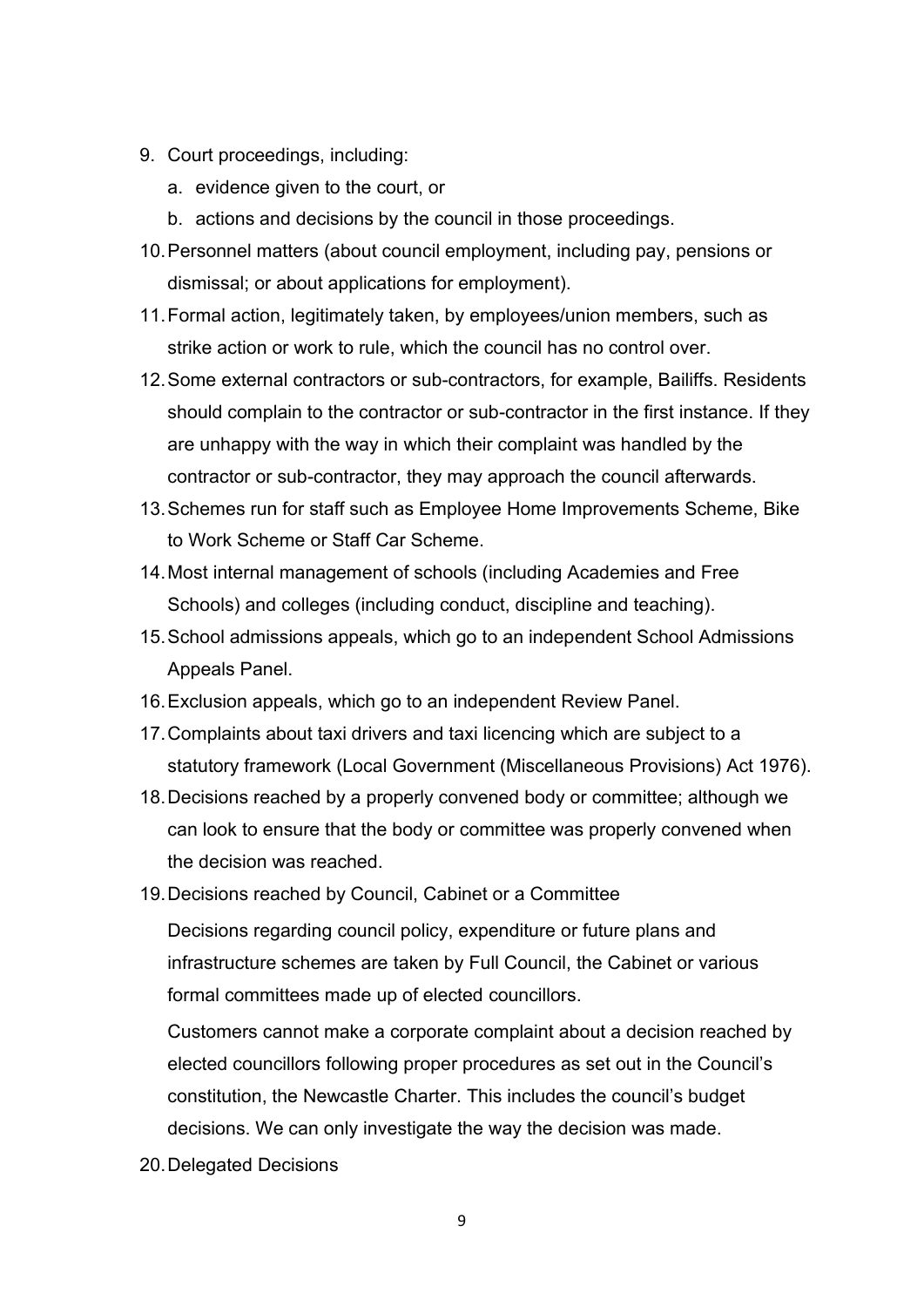- 9. Court proceedings, including:
	- a. evidence given to the court, or
	- b. actions and decisions by the council in those proceedings.
- 10.Personnel matters (about council employment, including pay, pensions or dismissal; or about applications for employment).
- 11.Formal action, legitimately taken, by employees/union members, such as strike action or work to rule, which the council has no control over.
- 12.Some external contractors or sub-contractors, for example, Bailiffs. Residents should complain to the contractor or sub-contractor in the first instance. If they are unhappy with the way in which their complaint was handled by the contractor or sub-contractor, they may approach the council afterwards.
- 13.Schemes run for staff such as Employee Home Improvements Scheme, Bike to Work Scheme or Staff Car Scheme.
- 14.Most internal management of schools (including Academies and Free Schools) and colleges (including conduct, discipline and teaching).
- 15.School admissions appeals, which go to an independent School Admissions Appeals Panel.
- 16.Exclusion appeals, which go to an independent Review Panel.
- 17.Complaints about taxi drivers and taxi licencing which are subject to a statutory framework (Local Government (Miscellaneous Provisions) Act 1976).
- 18.Decisions reached by a properly convened body or committee; although we can look to ensure that the body or committee was properly convened when the decision was reached.
- 19.Decisions reached by Council, Cabinet or a Committee

Decisions regarding council policy, expenditure or future plans and infrastructure schemes are taken by Full Council, the Cabinet or various formal committees made up of elected councillors.

Customers cannot make a corporate complaint about a decision reached by elected councillors following proper procedures as set out in the Council's constitution, the Newcastle Charter. This includes the council's budget decisions. We can only investigate the way the decision was made.

20.Delegated Decisions